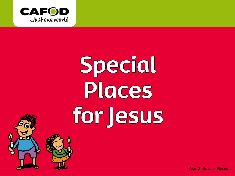

# Special Places for Jesus

Year 3 Special Places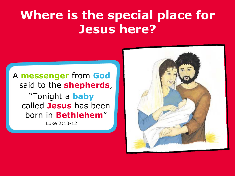#### A **messenger** from **God** said to the **shepherds**, "Tonight a **baby** called **Jesus** has been born in **Bethlehem**"

Luke 2:10-12

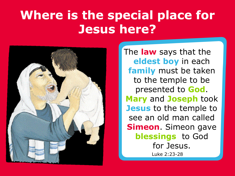

The **law** says that the **eldest boy** in each **family** must be taken to the temple to be presented to **God**. **Mary** and **Joseph** took **Jesus** to the temple to see an old man called **Simeon**. Simeon gave **blessings** to God for Jesus. Luke 2:23-28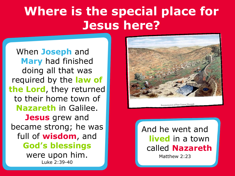When **Joseph** and **Mary** had finished doing all that was required by the **law of the Lord**, they returned to their home town of **Nazareth** in Galilee. **Jesus** grew and became strong; he was full of **wisdom**, and **God's blessings**  were upon him. Luke 2:39-40



And he went and **lived** in a town called **Nazareth**

Matthew 2:23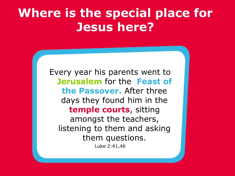Every year his parents went to **Jerusalem** for the **Feast of the Passover.** After three days they found him in the **temple courts**, sitting amongst the teachers, listening to them and asking them questions. Luke 2:41,46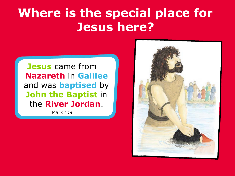**Jesus** came from **Nazareth** in **Galilee** and was **baptised** by **John the Baptist** in the **River Jordan**.

Mark 1:9

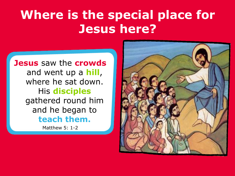**Jesus** saw the **crowds**  and went up a **hill**, where he sat down. His **disciples** gathered round him and he began to **teach them.**

Matthew 5: 1-2

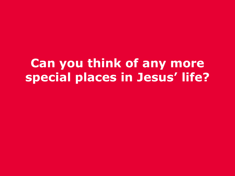#### **Can you think of any more special places in Jesus' life?**